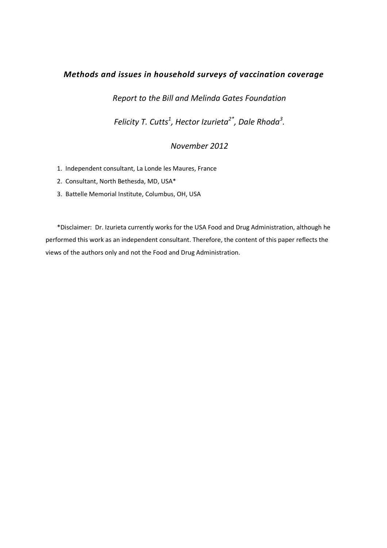# Methods and issues in household surveys of vaccination coverage

Report to the Bill and Melinda Gates Foundation

Felicity T. Cutts $^1$ , Hector Izurieta $^{2^*}$ , Dale Rhoda $^3$ .

# November 2012

- 1. Independent consultant, La Londe les Maures, France
- 2. Consultant, North Bethesda, MD, USA\*
- 3. Battelle Memorial Institute, Columbus, OH, USA

\*Disclaimer: Dr. Izurieta currently works for the USA Food and Drug Administration, although he performed this work as an independent consultant. Therefore, the content of this paper reflects the views of the authors only and not the Food and Drug Administration.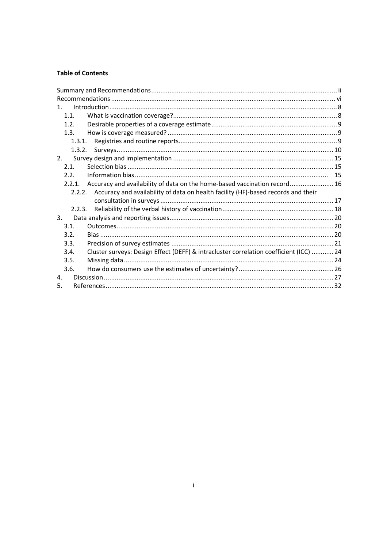# **Table of Contents**

| $1_{-}$        |                                                                                          |  |
|----------------|------------------------------------------------------------------------------------------|--|
| 1.1.           |                                                                                          |  |
| 1.2.           |                                                                                          |  |
| 1.3.           |                                                                                          |  |
| 1.3.1.         |                                                                                          |  |
| 1.3.2.         |                                                                                          |  |
| 2 <sub>1</sub> |                                                                                          |  |
| 2.1            |                                                                                          |  |
| 2.2.           |                                                                                          |  |
| 2.2.1.         | Accuracy and availability of data on the home-based vaccination record 16                |  |
|                | 2.2.2. Accuracy and availability of data on health facility (HF)-based records and their |  |
|                |                                                                                          |  |
| 2.2.3.         |                                                                                          |  |
| 3.             |                                                                                          |  |
| 3.1.           |                                                                                          |  |
| 3.2.           |                                                                                          |  |
| 3.3.           |                                                                                          |  |
| 3.4.           | Cluster surveys: Design Effect (DEFF) & intracluster correlation coefficient (ICC)  24   |  |
| 3.5.           |                                                                                          |  |
| 3.6.           |                                                                                          |  |
| 4.             |                                                                                          |  |
| 5.             |                                                                                          |  |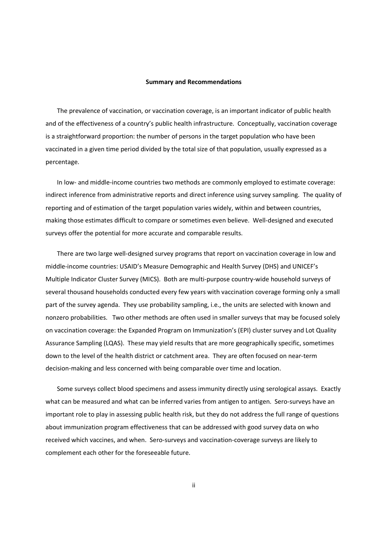#### Summary and Recommendations

The prevalence of vaccination, or vaccination coverage, is an important indicator of public health and of the effectiveness of a country's public health infrastructure. Conceptually, vaccination coverage is a straightforward proportion: the number of persons in the target population who have been vaccinated in a given time period divided by the total size of that population, usually expressed as a percentage.

In low- and middle-income countries two methods are commonly employed to estimate coverage: indirect inference from administrative reports and direct inference using survey sampling. The quality of reporting and of estimation of the target population varies widely, within and between countries, making those estimates difficult to compare or sometimes even believe. Well-designed and executed surveys offer the potential for more accurate and comparable results.

There are two large well-designed survey programs that report on vaccination coverage in low and middle-income countries: USAID's Measure Demographic and Health Survey (DHS) and UNICEF's Multiple Indicator Cluster Survey (MICS). Both are multi-purpose country-wide household surveys of several thousand households conducted every few years with vaccination coverage forming only a small part of the survey agenda. They use probability sampling, i.e., the units are selected with known and nonzero probabilities. Two other methods are often used in smaller surveys that may be focused solely on vaccination coverage: the Expanded Program on Immunization's (EPI) cluster survey and Lot Quality Assurance Sampling (LQAS). These may yield results that are more geographically specific, sometimes down to the level of the health district or catchment area. They are often focused on near-term decision-making and less concerned with being comparable over time and location.

Some surveys collect blood specimens and assess immunity directly using serological assays. Exactly what can be measured and what can be inferred varies from antigen to antigen. Sero-surveys have an important role to play in assessing public health risk, but they do not address the full range of questions about immunization program effectiveness that can be addressed with good survey data on who received which vaccines, and when. Sero-surveys and vaccination-coverage surveys are likely to complement each other for the foreseeable future.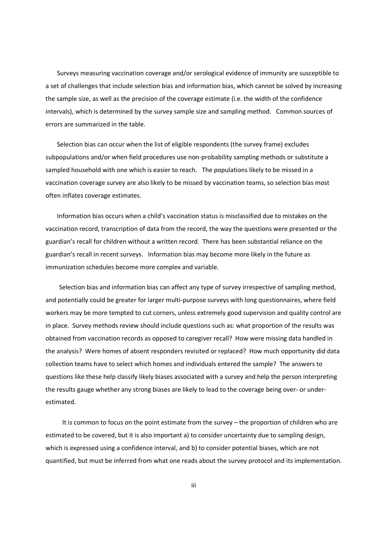Surveys measuring vaccination coverage and/or serological evidence of immunity are susceptible to a set of challenges that include selection bias and information bias, which cannot be solved by increasing the sample size, as well as the precision of the coverage estimate (i.e. the width of the confidence intervals), which is determined by the survey sample size and sampling method. Common sources of errors are summarized in the table.

Selection bias can occur when the list of eligible respondents (the survey frame) excludes subpopulations and/or when field procedures use non-probability sampling methods or substitute a sampled household with one which is easier to reach. The populations likely to be missed in a vaccination coverage survey are also likely to be missed by vaccination teams, so selection bias most often inflates coverage estimates.

Information bias occurs when a child's vaccination status is misclassified due to mistakes on the vaccination record, transcription of data from the record, the way the questions were presented or the guardian's recall for children without a written record. There has been substantial reliance on the guardian's recall in recent surveys. Information bias may become more likely in the future as immunization schedules become more complex and variable.

Selection bias and information bias can affect any type of survey irrespective of sampling method, and potentially could be greater for larger multi-purpose surveys with long questionnaires, where field workers may be more tempted to cut corners, unless extremely good supervision and quality control are in place. Survey methods review should include questions such as: what proportion of the results was obtained from vaccination records as opposed to caregiver recall? How were missing data handled in the analysis? Were homes of absent responders revisited or replaced? How much opportunity did data collection teams have to select which homes and individuals entered the sample? The answers to questions like these help classify likely biases associated with a survey and help the person interpreting the results gauge whether any strong biases are likely to lead to the coverage being over- or underestimated.

 It is common to focus on the point estimate from the survey – the proportion of children who are estimated to be covered, but it is also important a) to consider uncertainty due to sampling design, which is expressed using a confidence interval, and b) to consider potential biases, which are not quantified, but must be inferred from what one reads about the survey protocol and its implementation.

iii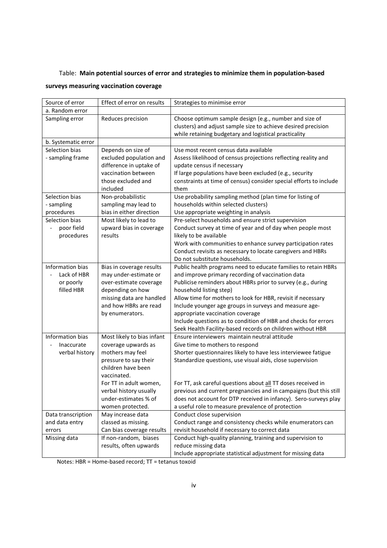# Table: Main potential sources of error and strategies to minimize them in population-based

# surveys measuring vaccination coverage

| Source of error                                              | Effect of error on results                                                                                                                                              | Strategies to minimise error                                                                                                                                                                                                                                                                                                                                                                                                                                                                                 |
|--------------------------------------------------------------|-------------------------------------------------------------------------------------------------------------------------------------------------------------------------|--------------------------------------------------------------------------------------------------------------------------------------------------------------------------------------------------------------------------------------------------------------------------------------------------------------------------------------------------------------------------------------------------------------------------------------------------------------------------------------------------------------|
| a. Random error                                              |                                                                                                                                                                         |                                                                                                                                                                                                                                                                                                                                                                                                                                                                                                              |
| Sampling error                                               | Reduces precision                                                                                                                                                       | Choose optimum sample design (e.g., number and size of<br>clusters) and adjust sample size to achieve desired precision<br>while retaining budgetary and logistical practicality                                                                                                                                                                                                                                                                                                                             |
| b. Systematic error                                          |                                                                                                                                                                         |                                                                                                                                                                                                                                                                                                                                                                                                                                                                                                              |
| Selection bias<br>- sampling frame                           | Depends on size of<br>excluded population and<br>difference in uptake of<br>vaccination between<br>those excluded and<br>included                                       | Use most recent census data available<br>Assess likelihood of census projections reflecting reality and<br>update census if necessary<br>If large populations have been excluded (e.g., security<br>constraints at time of census) consider special efforts to include<br>them                                                                                                                                                                                                                               |
| Selection bias                                               | Non-probabilistic                                                                                                                                                       | Use probability sampling method (plan time for listing of                                                                                                                                                                                                                                                                                                                                                                                                                                                    |
| - sampling                                                   | sampling may lead to                                                                                                                                                    | households within selected clusters)                                                                                                                                                                                                                                                                                                                                                                                                                                                                         |
| procedures                                                   | bias in either direction                                                                                                                                                | Use appropriate weighting in analysis                                                                                                                                                                                                                                                                                                                                                                                                                                                                        |
| Selection bias<br>poor field<br>$\overline{a}$<br>procedures | Most likely to lead to<br>upward bias in coverage<br>results                                                                                                            | Pre-select households and ensure strict supervision<br>Conduct survey at time of year and of day when people most<br>likely to be available<br>Work with communities to enhance survey participation rates<br>Conduct revisits as necessary to locate caregivers and HBRs<br>Do not substitute households.                                                                                                                                                                                                   |
| Information bias<br>Lack of HBR<br>or poorly<br>filled HBR   | Bias in coverage results<br>may under-estimate or<br>over-estimate coverage<br>depending on how<br>missing data are handled<br>and how HBRs are read<br>by enumerators. | Public health programs need to educate families to retain HBRs<br>and improve primary recording of vaccination data<br>Publicise reminders about HBRs prior to survey (e.g., during<br>household listing step)<br>Allow time for mothers to look for HBR, revisit if necessary<br>Include younger age groups in surveys and measure age-<br>appropriate vaccination coverage<br>Include questions as to condition of HBR and checks for errors<br>Seek Health Facility-based records on children without HBR |
| Information bias                                             | Most likely to bias infant                                                                                                                                              | Ensure interviewers maintain neutral attitude                                                                                                                                                                                                                                                                                                                                                                                                                                                                |
| Inaccurate<br>verbal history                                 | coverage upwards as<br>mothers may feel<br>pressure to say their                                                                                                        | Give time to mothers to respond<br>Shorter questionnaires likely to have less interviewee fatigue<br>Standardize questions, use visual aids, close supervision                                                                                                                                                                                                                                                                                                                                               |
|                                                              | children have been<br>vaccinated.<br>For TT in adult women,<br>verbal history usually<br>under-estimates % of                                                           | For TT, ask careful questions about all TT doses received in<br>previous and current pregnancies and in campaigns (but this still<br>does not account for DTP received in infancy). Sero-surveys play                                                                                                                                                                                                                                                                                                        |
|                                                              | women protected.                                                                                                                                                        | a useful role to measure prevalence of protection                                                                                                                                                                                                                                                                                                                                                                                                                                                            |
| Data transcription                                           | May increase data                                                                                                                                                       | Conduct close supervision                                                                                                                                                                                                                                                                                                                                                                                                                                                                                    |
| and data entry                                               | classed as missing.                                                                                                                                                     | Conduct range and consistency checks while enumerators can                                                                                                                                                                                                                                                                                                                                                                                                                                                   |
| errors<br>Missing data                                       | Can bias coverage results<br>If non-random, biases<br>results, often upwards                                                                                            | revisit household if necessary to correct data<br>Conduct high-quality planning, training and supervision to<br>reduce missing data<br>Include appropriate statistical adjustment for missing data                                                                                                                                                                                                                                                                                                           |

Notes: HBR = Home-based record; TT = tetanus toxoid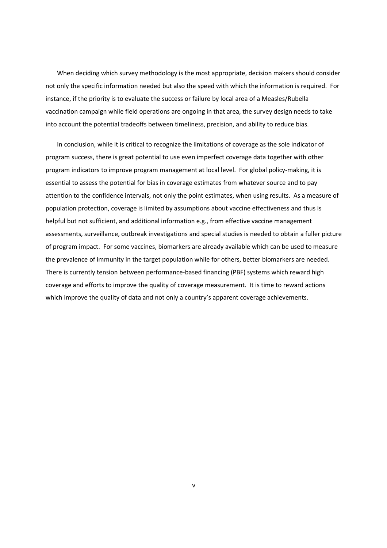When deciding which survey methodology is the most appropriate, decision makers should consider not only the specific information needed but also the speed with which the information is required. For instance, if the priority is to evaluate the success or failure by local area of a Measles/Rubella vaccination campaign while field operations are ongoing in that area, the survey design needs to take into account the potential tradeoffs between timeliness, precision, and ability to reduce bias.

In conclusion, while it is critical to recognize the limitations of coverage as the sole indicator of program success, there is great potential to use even imperfect coverage data together with other program indicators to improve program management at local level. For global policy-making, it is essential to assess the potential for bias in coverage estimates from whatever source and to pay attention to the confidence intervals, not only the point estimates, when using results. As a measure of population protection, coverage is limited by assumptions about vaccine effectiveness and thus is helpful but not sufficient, and additional information e.g., from effective vaccine management assessments, surveillance, outbreak investigations and special studies is needed to obtain a fuller picture of program impact. For some vaccines, biomarkers are already available which can be used to measure the prevalence of immunity in the target population while for others, better biomarkers are needed. There is currently tension between performance-based financing (PBF) systems which reward high coverage and efforts to improve the quality of coverage measurement. It is time to reward actions which improve the quality of data and not only a country's apparent coverage achievements.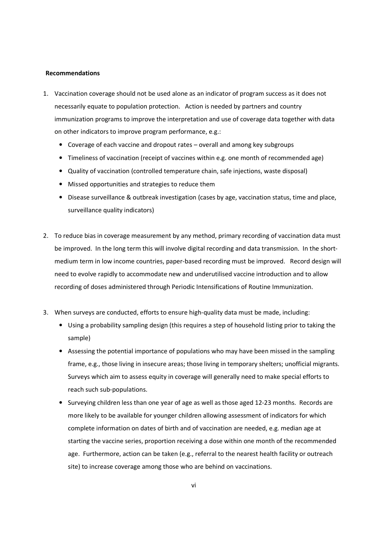#### Recommendations

- 1. Vaccination coverage should not be used alone as an indicator of program success as it does not necessarily equate to population protection. Action is needed by partners and country immunization programs to improve the interpretation and use of coverage data together with data on other indicators to improve program performance, e.g.:
	- Coverage of each vaccine and dropout rates overall and among key subgroups
	- Timeliness of vaccination (receipt of vaccines within e.g. one month of recommended age)
	- Quality of vaccination (controlled temperature chain, safe injections, waste disposal)
	- Missed opportunities and strategies to reduce them
	- Disease surveillance & outbreak investigation (cases by age, vaccination status, time and place, surveillance quality indicators)
- 2. To reduce bias in coverage measurement by any method, primary recording of vaccination data must be improved. In the long term this will involve digital recording and data transmission. In the shortmedium term in low income countries, paper-based recording must be improved. Record design will need to evolve rapidly to accommodate new and underutilised vaccine introduction and to allow recording of doses administered through Periodic Intensifications of Routine Immunization.
- 3. When surveys are conducted, efforts to ensure high-quality data must be made, including:
	- Using a probability sampling design (this requires a step of household listing prior to taking the sample)
	- Assessing the potential importance of populations who may have been missed in the sampling frame, e.g., those living in insecure areas; those living in temporary shelters; unofficial migrants. Surveys which aim to assess equity in coverage will generally need to make special efforts to reach such sub-populations.
	- Surveying children less than one year of age as well as those aged 12-23 months. Records are more likely to be available for younger children allowing assessment of indicators for which complete information on dates of birth and of vaccination are needed, e.g. median age at starting the vaccine series, proportion receiving a dose within one month of the recommended age. Furthermore, action can be taken (e.g., referral to the nearest health facility or outreach site) to increase coverage among those who are behind on vaccinations.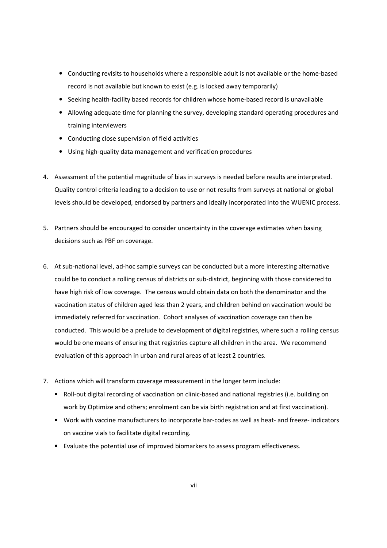- Conducting revisits to households where a responsible adult is not available or the home-based record is not available but known to exist (e.g. is locked away temporarily)
- Seeking health-facility based records for children whose home-based record is unavailable
- Allowing adequate time for planning the survey, developing standard operating procedures and training interviewers
- Conducting close supervision of field activities
- Using high-quality data management and verification procedures
- 4. Assessment of the potential magnitude of bias in surveys is needed before results are interpreted. Quality control criteria leading to a decision to use or not results from surveys at national or global levels should be developed, endorsed by partners and ideally incorporated into the WUENIC process.
- 5. Partners should be encouraged to consider uncertainty in the coverage estimates when basing decisions such as PBF on coverage.
- 6. At sub-national level, ad-hoc sample surveys can be conducted but a more interesting alternative could be to conduct a rolling census of districts or sub-district, beginning with those considered to have high risk of low coverage. The census would obtain data on both the denominator and the vaccination status of children aged less than 2 years, and children behind on vaccination would be immediately referred for vaccination. Cohort analyses of vaccination coverage can then be conducted. This would be a prelude to development of digital registries, where such a rolling census would be one means of ensuring that registries capture all children in the area. We recommend evaluation of this approach in urban and rural areas of at least 2 countries.
- 7. Actions which will transform coverage measurement in the longer term include:
	- Roll-out digital recording of vaccination on clinic-based and national registries (i.e. building on work by Optimize and others; enrolment can be via birth registration and at first vaccination).
	- Work with vaccine manufacturers to incorporate bar-codes as well as heat- and freeze- indicators on vaccine vials to facilitate digital recording.
	- Evaluate the potential use of improved biomarkers to assess program effectiveness.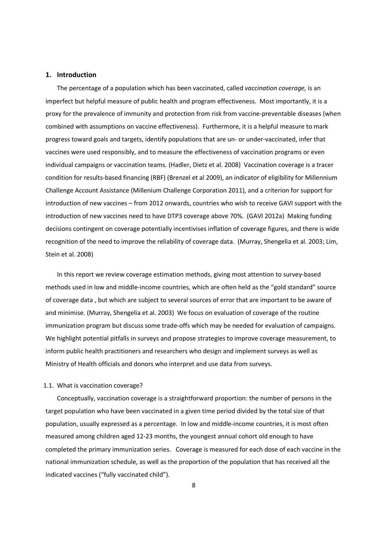# 1. Introduction

The percentage of a population which has been vaccinated, called vaccination coverage, is an imperfect but helpful measure of public health and program effectiveness. Most importantly, it is a proxy for the prevalence of immunity and protection from risk from vaccine-preventable diseases (when combined with assumptions on vaccine effectiveness). Furthermore, it is a helpful measure to mark progress toward goals and targets, identify populations that are un- or under-vaccinated, infer that vaccines were used responsibly, and to measure the effectiveness of vaccination programs or even individual campaigns or vaccination teams. (Hadler, Dietz et al. 2008) Vaccination coverage is a tracer condition for results-based financing (RBF) (Brenzel et al 2009), an indicator of eligibility for Millennium Challenge Account Assistance (Millenium Challenge Corporation 2011), and a criterion for support for introduction of new vaccines – from 2012 onwards, countries who wish to receive GAVI support with the introduction of new vaccines need to have DTP3 coverage above 70%. (GAVI 2012a) Making funding decisions contingent on coverage potentially incentivises inflation of coverage figures, and there is wide recognition of the need to improve the reliability of coverage data. (Murray, Shengelia et al. 2003; Lim, Stein et al. 2008)

In this report we review coverage estimation methods, giving most attention to survey-based methods used in low and middle-income countries, which are often held as the "gold standard" source of coverage data , but which are subject to several sources of error that are important to be aware of and minimise. (Murray, Shengelia et al. 2003) We focus on evaluation of coverage of the routine immunization program but discuss some trade-offs which may be needed for evaluation of campaigns. We highlight potential pitfalls in surveys and propose strategies to improve coverage measurement, to inform public health practitioners and researchers who design and implement surveys as well as Ministry of Health officials and donors who interpret and use data from surveys.

#### 1.1. What is vaccination coverage?

Conceptually, vaccination coverage is a straightforward proportion: the number of persons in the target population who have been vaccinated in a given time period divided by the total size of that population, usually expressed as a percentage. In low and middle-income countries, it is most often measured among children aged 12-23 months, the youngest annual cohort old enough to have completed the primary immunization series. Coverage is measured for each dose of each vaccine in the national immunization schedule, as well as the proportion of the population that has received all the indicated vaccines ("fully vaccinated child").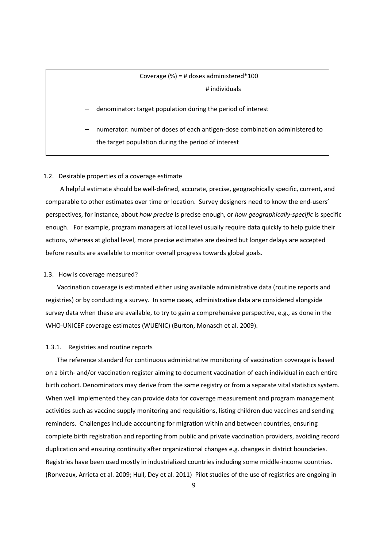# Coverage (%) = # doses administered\*100 # individuals

#### – denominator: target population during the period of interest

– numerator: number of doses of each antigen-dose combination administered to the target population during the period of interest

#### 1.2. Desirable properties of a coverage estimate

 A helpful estimate should be well-defined, accurate, precise, geographically specific, current, and comparable to other estimates over time or location. Survey designers need to know the end-users' perspectives, for instance, about how precise is precise enough, or how geographically-specific is specific enough. For example, program managers at local level usually require data quickly to help guide their actions, whereas at global level, more precise estimates are desired but longer delays are accepted before results are available to monitor overall progress towards global goals.

#### 1.3. How is coverage measured?

Vaccination coverage is estimated either using available administrative data (routine reports and registries) or by conducting a survey. In some cases, administrative data are considered alongside survey data when these are available, to try to gain a comprehensive perspective, e.g., as done in the WHO-UNICEF coverage estimates (WUENIC) (Burton, Monasch et al. 2009).

## 1.3.1. Registries and routine reports

The reference standard for continuous administrative monitoring of vaccination coverage is based on a birth- and/or vaccination register aiming to document vaccination of each individual in each entire birth cohort. Denominators may derive from the same registry or from a separate vital statistics system. When well implemented they can provide data for coverage measurement and program management activities such as vaccine supply monitoring and requisitions, listing children due vaccines and sending reminders. Challenges include accounting for migration within and between countries, ensuring complete birth registration and reporting from public and private vaccination providers, avoiding record duplication and ensuring continuity after organizational changes e.g. changes in district boundaries. Registries have been used mostly in industrialized countries including some middle-income countries. (Ronveaux, Arrieta et al. 2009; Hull, Dey et al. 2011) Pilot studies of the use of registries are ongoing in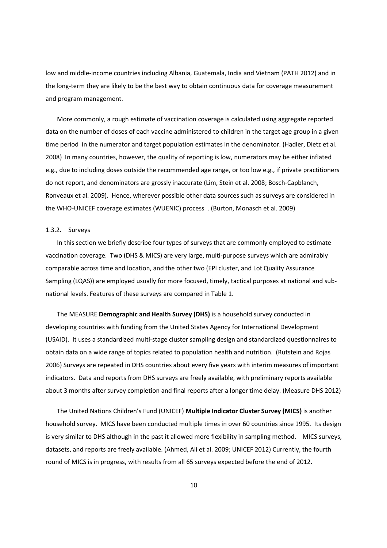low and middle-income countries including Albania, Guatemala, India and Vietnam (PATH 2012) and in the long-term they are likely to be the best way to obtain continuous data for coverage measurement and program management.

More commonly, a rough estimate of vaccination coverage is calculated using aggregate reported data on the number of doses of each vaccine administered to children in the target age group in a given time period in the numerator and target population estimates in the denominator. (Hadler, Dietz et al. 2008) In many countries, however, the quality of reporting is low, numerators may be either inflated e.g., due to including doses outside the recommended age range, or too low e.g., if private practitioners do not report, and denominators are grossly inaccurate (Lim, Stein et al. 2008; Bosch-Capblanch, Ronveaux et al. 2009). Hence, wherever possible other data sources such as surveys are considered in the WHO-UNICEF coverage estimates (WUENIC) process . (Burton, Monasch et al. 2009)

### 1.3.2. Surveys

In this section we briefly describe four types of surveys that are commonly employed to estimate vaccination coverage. Two (DHS & MICS) are very large, multi-purpose surveys which are admirably comparable across time and location, and the other two (EPI cluster, and Lot Quality Assurance Sampling (LQAS)) are employed usually for more focused, timely, tactical purposes at national and subnational levels. Features of these surveys are compared in Table 1.

The MEASURE Demographic and Health Survey (DHS) is a household survey conducted in developing countries with funding from the United States Agency for International Development (USAID). It uses a standardized multi-stage cluster sampling design and standardized questionnaires to obtain data on a wide range of topics related to population health and nutrition. (Rutstein and Rojas 2006) Surveys are repeated in DHS countries about every five years with interim measures of important indicators. Data and reports from DHS surveys are freely available, with preliminary reports available about 3 months after survey completion and final reports after a longer time delay. (Measure DHS 2012)

The United Nations Children's Fund (UNICEF) Multiple Indicator Cluster Survey (MICS) is another household survey. MICS have been conducted multiple times in over 60 countries since 1995. Its design is very similar to DHS although in the past it allowed more flexibility in sampling method. MICS surveys, datasets, and reports are freely available. (Ahmed, Ali et al. 2009; UNICEF 2012) Currently, the fourth round of MICS is in progress, with results from all 65 surveys expected before the end of 2012.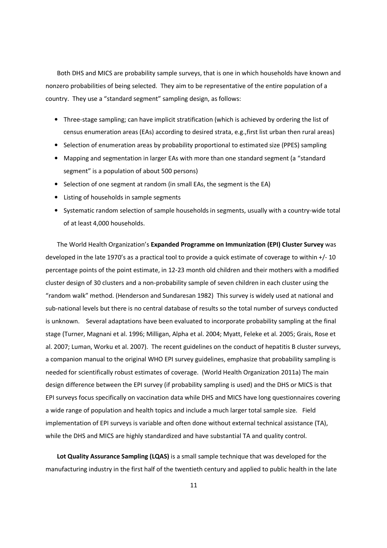Both DHS and MICS are probability sample surveys, that is one in which households have known and nonzero probabilities of being selected. They aim to be representative of the entire population of a country. They use a "standard segment" sampling design, as follows:

- Three-stage sampling; can have implicit stratification (which is achieved by ordering the list of census enumeration areas (EAs) according to desired strata, e.g.,first list urban then rural areas)
- Selection of enumeration areas by probability proportional to estimated size (PPES) sampling
- Mapping and segmentation in larger EAs with more than one standard segment (a "standard segment" is a population of about 500 persons)
- Selection of one segment at random (in small EAs, the segment is the EA)
- Listing of households in sample segments
- Systematic random selection of sample households in segments, usually with a country-wide total of at least 4,000 households.

The World Health Organization's Expanded Programme on Immunization (EPI) Cluster Survey was developed in the late 1970's as a practical tool to provide a quick estimate of coverage to within +/- 10 percentage points of the point estimate, in 12-23 month old children and their mothers with a modified cluster design of 30 clusters and a non-probability sample of seven children in each cluster using the "random walk" method. (Henderson and Sundaresan 1982) This survey is widely used at national and sub-national levels but there is no central database of results so the total number of surveys conducted is unknown. Several adaptations have been evaluated to incorporate probability sampling at the final stage (Turner, Magnani et al. 1996; Milligan, Alpha et al. 2004; Myatt, Feleke et al. 2005; Grais, Rose et al. 2007; Luman, Worku et al. 2007). The recent guidelines on the conduct of hepatitis B cluster surveys, a companion manual to the original WHO EPI survey guidelines, emphasize that probability sampling is needed for scientifically robust estimates of coverage. (World Health Organization 2011a) The main design difference between the EPI survey (if probability sampling is used) and the DHS or MICS is that EPI surveys focus specifically on vaccination data while DHS and MICS have long questionnaires covering a wide range of population and health topics and include a much larger total sample size. Field implementation of EPI surveys is variable and often done without external technical assistance (TA), while the DHS and MICS are highly standardized and have substantial TA and quality control.

Lot Quality Assurance Sampling (LQAS) is a small sample technique that was developed for the manufacturing industry in the first half of the twentieth century and applied to public health in the late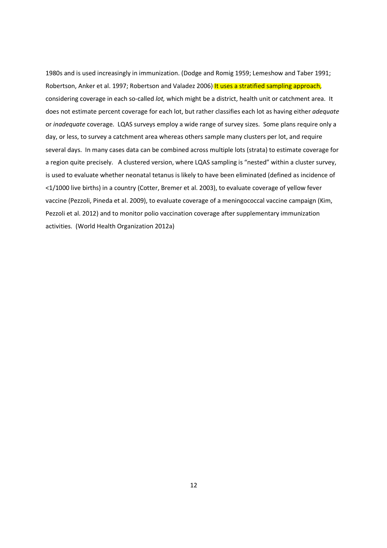1980s and is used increasingly in immunization. (Dodge and Romig 1959; Lemeshow and Taber 1991; Robertson, Anker et al. 1997; Robertson and Valadez 2006) It uses a stratified sampling approach, considering coverage in each so-called lot, which might be a district, health unit or catchment area. It does not estimate percent coverage for each lot, but rather classifies each lot as having either adequate or inadequate coverage. LQAS surveys employ a wide range of survey sizes. Some plans require only a day, or less, to survey a catchment area whereas others sample many clusters per lot, and require several days. In many cases data can be combined across multiple lots (strata) to estimate coverage for a region quite precisely. A clustered version, where LQAS sampling is "nested" within a cluster survey, is used to evaluate whether neonatal tetanus is likely to have been eliminated (defined as incidence of <1/1000 live births) in a country (Cotter, Bremer et al. 2003), to evaluate coverage of yellow fever vaccine (Pezzoli, Pineda et al. 2009), to evaluate coverage of a meningococcal vaccine campaign (Kim, Pezzoli et al. 2012) and to monitor polio vaccination coverage after supplementary immunization activities. (World Health Organization 2012a)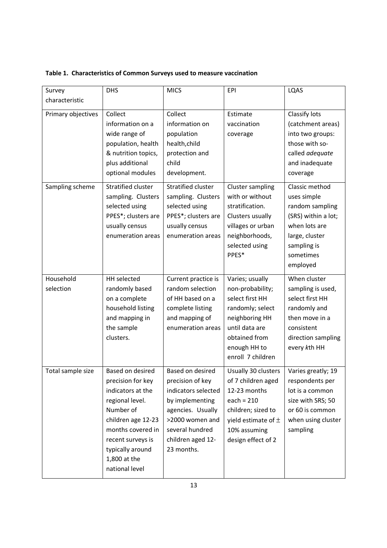| Survey                 | <b>DHS</b>                                                                                                                                                                                                       | <b>MICS</b>                                                                                                                                                                  | EPI                                                                                                                                                                  | LQAS                                                                                                                                               |
|------------------------|------------------------------------------------------------------------------------------------------------------------------------------------------------------------------------------------------------------|------------------------------------------------------------------------------------------------------------------------------------------------------------------------------|----------------------------------------------------------------------------------------------------------------------------------------------------------------------|----------------------------------------------------------------------------------------------------------------------------------------------------|
| characteristic         |                                                                                                                                                                                                                  |                                                                                                                                                                              |                                                                                                                                                                      |                                                                                                                                                    |
| Primary objectives     | Collect<br>information on a<br>wide range of<br>population, health<br>& nutrition topics,<br>plus additional<br>optional modules                                                                                 | Collect<br>information on<br>population<br>health, child<br>protection and<br>child<br>development.                                                                          | Estimate<br>vaccination<br>coverage                                                                                                                                  | Classify lots<br>(catchment areas)<br>into two groups:<br>those with so-<br>called adequate<br>and inadequate<br>coverage                          |
| Sampling scheme        | Stratified cluster<br>sampling. Clusters<br>selected using<br>PPES*; clusters are<br>usually census<br>enumeration areas                                                                                         | Stratified cluster<br>sampling. Clusters<br>selected using<br>PPES*; clusters are<br>usually census<br>enumeration areas                                                     | <b>Cluster sampling</b><br>with or without<br>stratification.<br>Clusters usually<br>villages or urban<br>neighborhoods,<br>selected using<br>PPES*                  | Classic method<br>uses simple<br>random sampling<br>(SRS) within a lot;<br>when lots are<br>large, cluster<br>sampling is<br>sometimes<br>employed |
| Household<br>selection | HH selected<br>randomly based<br>on a complete<br>household listing<br>and mapping in<br>the sample<br>clusters.                                                                                                 | Current practice is<br>random selection<br>of HH based on a<br>complete listing<br>and mapping of<br>enumeration areas                                                       | Varies; usually<br>non-probability;<br>select first HH<br>randomly; select<br>neighboring HH<br>until data are<br>obtained from<br>enough HH to<br>enroll 7 children | When cluster<br>sampling is used,<br>select first HH<br>randomly and<br>then move in a<br>consistent<br>direction sampling<br>every kth HH         |
| Total sample size      | Based on desired<br>precision for key<br>indicators at the<br>regional level.<br>Number of<br>children age 12-23<br>months covered in<br>recent surveys is<br>typically around<br>1,800 at the<br>national level | Based on desired<br>precision of key<br>indicators selected<br>by implementing<br>agencies. Usually<br>>2000 women and<br>several hundred<br>children aged 12-<br>23 months. | Usually 30 clusters<br>of 7 children aged<br>12-23 months<br>each = $210$<br>children; sized to<br>yield estimate of $\pm$<br>10% assuming<br>design effect of 2     | Varies greatly; 19<br>respondents per<br>lot is a common<br>size with SRS; 50<br>or 60 is common<br>when using cluster<br>sampling                 |

Table 1. Characteristics of Common Surveys used to measure vaccination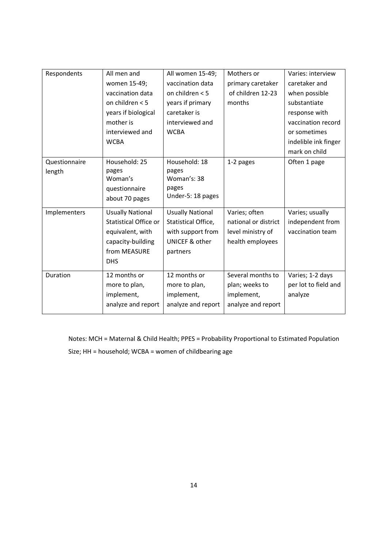| Respondents   | All men and                  | All women 15-49;        | Mothers or           | Varies: interview    |
|---------------|------------------------------|-------------------------|----------------------|----------------------|
|               | women 15-49;                 | vaccination data        | primary caretaker    | caretaker and        |
|               | vaccination data             | on children $< 5$       | of children 12-23    | when possible        |
|               | on children < 5              | years if primary        | months               | substantiate         |
|               | years if biological          | caretaker is            |                      | response with        |
|               | mother is                    | interviewed and         |                      | vaccination record   |
|               | interviewed and              | <b>WCBA</b>             |                      | or sometimes         |
|               | <b>WCBA</b>                  |                         |                      | indelible ink finger |
|               |                              |                         |                      | mark on child        |
| Questionnaire | Household: 25                | Household: 18           | 1-2 pages            | Often 1 page         |
| length        | pages                        | pages                   |                      |                      |
|               | Woman's                      | Woman's: 38             |                      |                      |
|               | questionnaire                | pages                   |                      |                      |
|               | about 70 pages               | Under-5: 18 pages       |                      |                      |
| Implementers  | <b>Usually National</b>      | <b>Usually National</b> | Varies; often        | Varies; usually      |
|               | <b>Statistical Office or</b> | Statistical Office,     | national or district | independent from     |
|               | equivalent, with             | with support from       | level ministry of    | vaccination team     |
|               | capacity-building            | UNICEF & other          | health employees     |                      |
|               | from MEASURE                 | partners                |                      |                      |
|               | <b>DHS</b>                   |                         |                      |                      |
| Duration      | 12 months or                 | 12 months or            | Several months to    | Varies; 1-2 days     |
|               | more to plan,                | more to plan,           | plan; weeks to       | per lot to field and |
|               | implement,                   | implement,              | implement,           | analyze              |
|               | analyze and report           | analyze and report      | analyze and report   |                      |

Notes: MCH = Maternal & Child Health; PPES = Probability Proportional to Estimated Population Size; HH = household; WCBA = women of childbearing age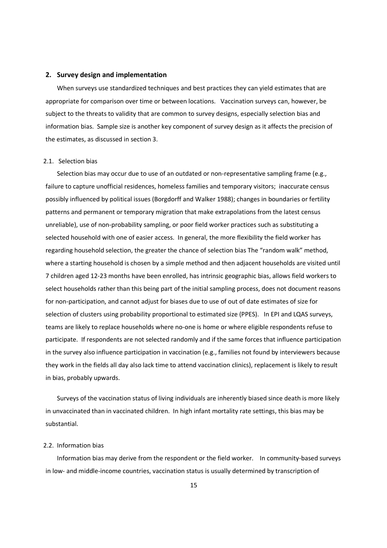#### 2. Survey design and implementation

When surveys use standardized techniques and best practices they can yield estimates that are appropriate for comparison over time or between locations. Vaccination surveys can, however, be subject to the threats to validity that are common to survey designs, especially selection bias and information bias. Sample size is another key component of survey design as it affects the precision of the estimates, as discussed in section 3.

## 2.1. Selection bias

Selection bias may occur due to use of an outdated or non-representative sampling frame (e.g., failure to capture unofficial residences, homeless families and temporary visitors; inaccurate census possibly influenced by political issues (Borgdorff and Walker 1988); changes in boundaries or fertility patterns and permanent or temporary migration that make extrapolations from the latest census unreliable), use of non-probability sampling, or poor field worker practices such as substituting a selected household with one of easier access. In general, the more flexibility the field worker has regarding household selection, the greater the chance of selection bias The "random walk" method, where a starting household is chosen by a simple method and then adjacent households are visited until 7 children aged 12-23 months have been enrolled, has intrinsic geographic bias, allows field workers to select households rather than this being part of the initial sampling process, does not document reasons for non-participation, and cannot adjust for biases due to use of out of date estimates of size for selection of clusters using probability proportional to estimated size (PPES). In EPI and LQAS surveys, teams are likely to replace households where no-one is home or where eligible respondents refuse to participate. If respondents are not selected randomly and if the same forces that influence participation in the survey also influence participation in vaccination (e.g., families not found by interviewers because they work in the fields all day also lack time to attend vaccination clinics), replacement is likely to result in bias, probably upwards.

Surveys of the vaccination status of living individuals are inherently biased since death is more likely in unvaccinated than in vaccinated children. In high infant mortality rate settings, this bias may be substantial.

# 2.2. Information bias

Information bias may derive from the respondent or the field worker. In community-based surveys in low- and middle-income countries, vaccination status is usually determined by transcription of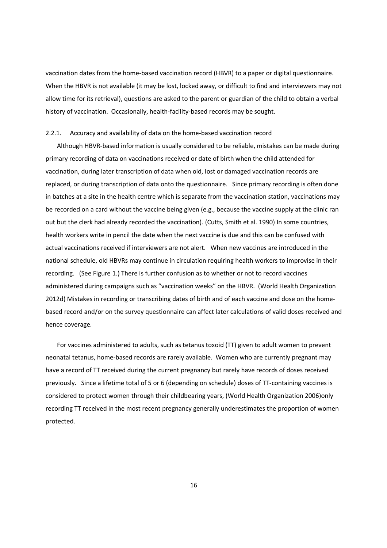vaccination dates from the home-based vaccination record (HBVR) to a paper or digital questionnaire. When the HBVR is not available (it may be lost, locked away, or difficult to find and interviewers may not allow time for its retrieval), questions are asked to the parent or guardian of the child to obtain a verbal history of vaccination. Occasionally, health-facility-based records may be sought.

#### 2.2.1. Accuracy and availability of data on the home-based vaccination record

Although HBVR-based information is usually considered to be reliable, mistakes can be made during primary recording of data on vaccinations received or date of birth when the child attended for vaccination, during later transcription of data when old, lost or damaged vaccination records are replaced, or during transcription of data onto the questionnaire. Since primary recording is often done in batches at a site in the health centre which is separate from the vaccination station, vaccinations may be recorded on a card without the vaccine being given (e.g., because the vaccine supply at the clinic ran out but the clerk had already recorded the vaccination). (Cutts, Smith et al. 1990) In some countries, health workers write in pencil the date when the next vaccine is due and this can be confused with actual vaccinations received if interviewers are not alert. When new vaccines are introduced in the national schedule, old HBVRs may continue in circulation requiring health workers to improvise in their recording. (See Figure 1.) There is further confusion as to whether or not to record vaccines administered during campaigns such as "vaccination weeks" on the HBVR. (World Health Organization 2012d) Mistakes in recording or transcribing dates of birth and of each vaccine and dose on the homebased record and/or on the survey questionnaire can affect later calculations of valid doses received and hence coverage.

For vaccines administered to adults, such as tetanus toxoid (TT) given to adult women to prevent neonatal tetanus, home-based records are rarely available. Women who are currently pregnant may have a record of TT received during the current pregnancy but rarely have records of doses received previously. Since a lifetime total of 5 or 6 (depending on schedule) doses of TT-containing vaccines is considered to protect women through their childbearing years, (World Health Organization 2006)only recording TT received in the most recent pregnancy generally underestimates the proportion of women protected.

16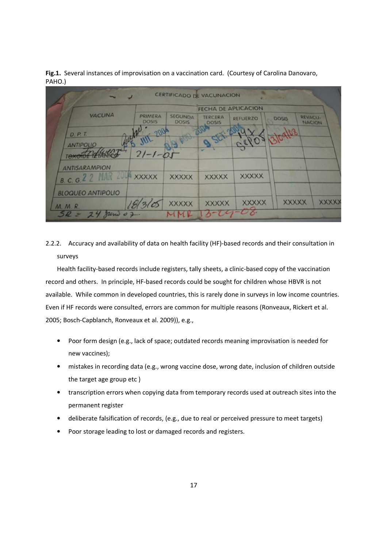Fig.1. Several instances of improvisation on a vaccination card. (Courtesy of Carolina Danovaro, PAHO.)

|                                                            |                                | <b>CERTIFICADO DE VACUNACIÓN</b> |                                |                 | <b>Contract Contract Contract</b> |                                 |
|------------------------------------------------------------|--------------------------------|----------------------------------|--------------------------------|-----------------|-----------------------------------|---------------------------------|
|                                                            |                                | <b>FECHA DE APLICACION</b>       |                                |                 |                                   |                                 |
| <b>VACUNA</b>                                              | <b>PRIMERA</b><br><b>DOSIS</b> | <b>SEGUNDA</b><br><b>DOSIS</b>   | <b>TERCERA</b><br><b>DOSIS</b> | <b>REFUERZO</b> | <b>DOSIS</b>                      | <b>REVACU-</b><br><b>NACION</b> |
| D. P. T.<br><b>ANTIPOLIO</b>                               | $-90$                          |                                  |                                | Gero            |                                   |                                 |
| тежете                                                     | $21 - 1 - 1$                   |                                  |                                |                 |                                   |                                 |
| <b>ANTISARAMPION</b><br><b>B. C. G. 2 2 MAR 2004 XXXXX</b> |                                | <b>XXXXX</b>                     | <b>XXXXX</b>                   | <b>XXXXX</b>    |                                   |                                 |
| <b>BLOQUEO ANTIPOLIO</b>                                   |                                |                                  |                                |                 |                                   |                                 |
| <b>M. M. R.</b>                                            |                                | <b>XXXXX</b>                     | <b>XXXXX</b>                   | <b>XXXXX</b>    | <b>XXXXX</b>                      | <b>XXXXX</b>                    |
| $5R - 24$ June 07.                                         |                                | MMK                              | $13 - 09 - 08$                 |                 |                                   |                                 |

2.2.2. Accuracy and availability of data on health facility (HF)-based records and their consultation in surveys

Health facility-based records include registers, tally sheets, a clinic-based copy of the vaccination record and others. In principle, HF-based records could be sought for children whose HBVR is not available. While common in developed countries, this is rarely done in surveys in low income countries. Even if HF records were consulted, errors are common for multiple reasons (Ronveaux, Rickert et al. 2005; Bosch-Capblanch, Ronveaux et al. 2009)), e.g.,

- Poor form design (e.g., lack of space; outdated records meaning improvisation is needed for new vaccines);
- mistakes in recording data (e.g., wrong vaccine dose, wrong date, inclusion of children outside the target age group etc )
- transcription errors when copying data from temporary records used at outreach sites into the permanent register
- deliberate falsification of records, (e.g., due to real or perceived pressure to meet targets)
- Poor storage leading to lost or damaged records and registers.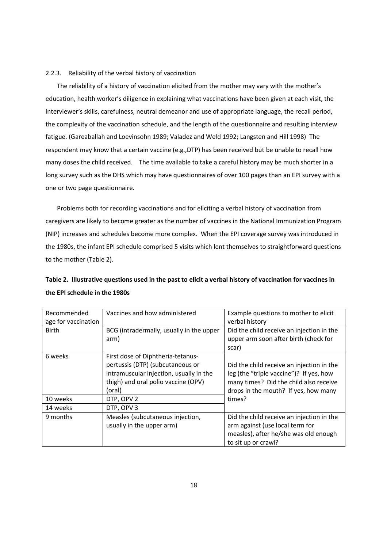### 2.2.3. Reliability of the verbal history of vaccination

The reliability of a history of vaccination elicited from the mother may vary with the mother's education, health worker's diligence in explaining what vaccinations have been given at each visit, the interviewer's skills, carefulness, neutral demeanor and use of appropriate language, the recall period, the complexity of the vaccination schedule, and the length of the questionnaire and resulting interview fatigue. (Gareaballah and Loevinsohn 1989; Valadez and Weld 1992; Langsten and Hill 1998) The respondent may know that a certain vaccine (e.g.,DTP) has been received but be unable to recall how many doses the child received. The time available to take a careful history may be much shorter in a long survey such as the DHS which may have questionnaires of over 100 pages than an EPI survey with a one or two page questionnaire.

Problems both for recording vaccinations and for eliciting a verbal history of vaccination from caregivers are likely to become greater as the number of vaccines in the National Immunization Program (NIP) increases and schedules become more complex. When the EPI coverage survey was introduced in the 1980s, the infant EPI schedule comprised 5 visits which lent themselves to straightforward questions to the mother (Table 2).

| Table 2. Illustrative questions used in the past to elicit a verbal history of vaccination for vaccines in |  |
|------------------------------------------------------------------------------------------------------------|--|
| the EPI schedule in the 1980s                                                                              |  |

| Vaccines and how administered<br>Recommended |                                                                                                                                                                   | Example questions to mother to elicit                                                                                                                                  |  |
|----------------------------------------------|-------------------------------------------------------------------------------------------------------------------------------------------------------------------|------------------------------------------------------------------------------------------------------------------------------------------------------------------------|--|
| age for vaccination                          |                                                                                                                                                                   | verbal history                                                                                                                                                         |  |
| <b>Birth</b>                                 | BCG (intradermally, usually in the upper<br>arm)                                                                                                                  | Did the child receive an injection in the<br>upper arm soon after birth (check for<br>scar)                                                                            |  |
| 6 weeks                                      | First dose of Diphtheria-tetanus-<br>pertussis (DTP) (subcutaneous or<br>intramuscular injection, usually in the<br>thigh) and oral polio vaccine (OPV)<br>(oral) | Did the child receive an injection in the<br>leg (the "triple vaccine")? If yes, how<br>many times? Did the child also receive<br>drops in the mouth? If yes, how many |  |
| 10 weeks                                     | DTP, OPV 2                                                                                                                                                        | times?                                                                                                                                                                 |  |
| 14 weeks                                     | DTP, OPV 3                                                                                                                                                        |                                                                                                                                                                        |  |
| 9 months                                     | Measles (subcutaneous injection,<br>usually in the upper arm)                                                                                                     | Did the child receive an injection in the<br>arm against (use local term for<br>measles), after he/she was old enough<br>to sit up or crawl?                           |  |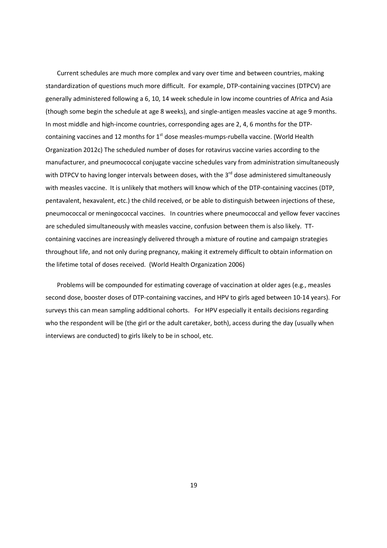Current schedules are much more complex and vary over time and between countries, making standardization of questions much more difficult. For example, DTP-containing vaccines (DTPCV) are generally administered following a 6, 10, 14 week schedule in low income countries of Africa and Asia (though some begin the schedule at age 8 weeks), and single-antigen measles vaccine at age 9 months. In most middle and high-income countries, corresponding ages are 2, 4, 6 months for the DTPcontaining vaccines and 12 months for  $1<sup>st</sup>$  dose measles-mumps-rubella vaccine. (World Health Organization 2012c) The scheduled number of doses for rotavirus vaccine varies according to the manufacturer, and pneumococcal conjugate vaccine schedules vary from administration simultaneously with DTPCV to having longer intervals between doses, with the 3<sup>rd</sup> dose administered simultaneously with measles vaccine. It is unlikely that mothers will know which of the DTP-containing vaccines (DTP, pentavalent, hexavalent, etc.) the child received, or be able to distinguish between injections of these, pneumococcal or meningococcal vaccines. In countries where pneumococcal and yellow fever vaccines are scheduled simultaneously with measles vaccine, confusion between them is also likely. TTcontaining vaccines are increasingly delivered through a mixture of routine and campaign strategies throughout life, and not only during pregnancy, making it extremely difficult to obtain information on the lifetime total of doses received. (World Health Organization 2006)

Problems will be compounded for estimating coverage of vaccination at older ages (e.g., measles second dose, booster doses of DTP-containing vaccines, and HPV to girls aged between 10-14 years). For surveys this can mean sampling additional cohorts. For HPV especially it entails decisions regarding who the respondent will be (the girl or the adult caretaker, both), access during the day (usually when interviews are conducted) to girls likely to be in school, etc.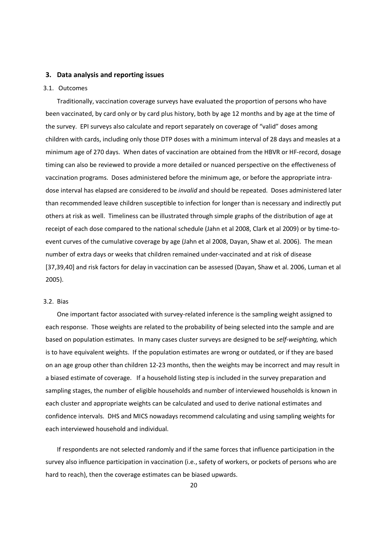# 3. Data analysis and reporting issues

## 3.1. Outcomes

Traditionally, vaccination coverage surveys have evaluated the proportion of persons who have been vaccinated, by card only or by card plus history, both by age 12 months and by age at the time of the survey. EPI surveys also calculate and report separately on coverage of "valid" doses among children with cards, including only those DTP doses with a minimum interval of 28 days and measles at a minimum age of 270 days. When dates of vaccination are obtained from the HBVR or HF-record, dosage timing can also be reviewed to provide a more detailed or nuanced perspective on the effectiveness of vaccination programs. Doses administered before the minimum age, or before the appropriate intradose interval has elapsed are considered to be *invalid* and should be repeated. Doses administered later than recommended leave children susceptible to infection for longer than is necessary and indirectly put others at risk as well. Timeliness can be illustrated through simple graphs of the distribution of age at receipt of each dose compared to the national schedule (Jahn et al 2008, Clark et al 2009) or by time-toevent curves of the cumulative coverage by age (Jahn et al 2008, Dayan, Shaw et al. 2006). The mean number of extra days or weeks that children remained under-vaccinated and at risk of disease [37,39,40] and risk factors for delay in vaccination can be assessed (Dayan, Shaw et al. 2006, Luman et al 2005).

#### 3.2. Bias

One important factor associated with survey-related inference is the sampling weight assigned to each response. Those weights are related to the probability of being selected into the sample and are based on population estimates. In many cases cluster surveys are designed to be self-weighting, which is to have equivalent weights. If the population estimates are wrong or outdated, or if they are based on an age group other than children 12-23 months, then the weights may be incorrect and may result in a biased estimate of coverage. If a household listing step is included in the survey preparation and sampling stages, the number of eligible households and number of interviewed households is known in each cluster and appropriate weights can be calculated and used to derive national estimates and confidence intervals. DHS and MICS nowadays recommend calculating and using sampling weights for each interviewed household and individual.

If respondents are not selected randomly and if the same forces that influence participation in the survey also influence participation in vaccination (i.e., safety of workers, or pockets of persons who are hard to reach), then the coverage estimates can be biased upwards.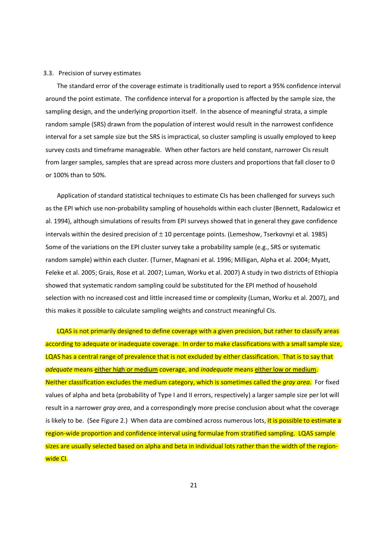#### 3.3. Precision of survey estimates

The standard error of the coverage estimate is traditionally used to report a 95% confidence interval around the point estimate. The confidence interval for a proportion is affected by the sample size, the sampling design, and the underlying proportion itself. In the absence of meaningful strata, a simple random sample (SRS) drawn from the population of interest would result in the narrowest confidence interval for a set sample size but the SRS is impractical, so cluster sampling is usually employed to keep survey costs and timeframe manageable. When other factors are held constant, narrower CIs result from larger samples, samples that are spread across more clusters and proportions that fall closer to 0 or 100% than to 50%.

Application of standard statistical techniques to estimate CIs has been challenged for surveys such as the EPI which use non-probability sampling of households within each cluster (Bennett, Radalowicz et al. 1994), although simulations of results from EPI surveys showed that in general they gave confidence intervals within the desired precision of  $\pm$  10 percentage points. (Lemeshow, Tserkovnyi et al. 1985) Some of the variations on the EPI cluster survey take a probability sample (e.g., SRS or systematic random sample) within each cluster. (Turner, Magnani et al. 1996; Milligan, Alpha et al. 2004; Myatt, Feleke et al. 2005; Grais, Rose et al. 2007; Luman, Worku et al. 2007) A study in two districts of Ethiopia showed that systematic random sampling could be substituted for the EPI method of household selection with no increased cost and little increased time or complexity (Luman, Worku et al. 2007), and this makes it possible to calculate sampling weights and construct meaningful CIs.

LQAS is not primarily designed to define coverage with a given precision, but rather to classify areas according to adequate or inadequate coverage. In order to make classifications with a small sample size, LQAS has a central range of prevalence that is not excluded by either classification. That is to say that adequate means either high or medium coverage, and *inadequate* means either low or medium. Neither classification excludes the medium category, which is sometimes called the gray area. For fixed values of alpha and beta (probability of Type I and II errors, respectively) a larger sample size per lot will result in a narrower gray area, and a correspondingly more precise conclusion about what the coverage is likely to be. (See Figure 2.) When data are combined across numerous lots, it is possible to estimate a region-wide proportion and confidence interval using formulae from stratified sampling. LQAS sample sizes are usually selected based on alpha and beta in individual lots rather than the width of the regionwide CI.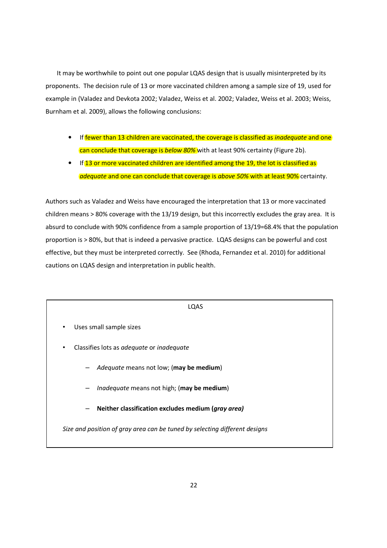It may be worthwhile to point out one popular LQAS design that is usually misinterpreted by its proponents. The decision rule of 13 or more vaccinated children among a sample size of 19, used for example in (Valadez and Devkota 2002; Valadez, Weiss et al. 2002; Valadez, Weiss et al. 2003; Weiss, Burnham et al. 2009), allows the following conclusions:

- If fewer than 13 children are vaccinated, the coverage is classified as *inadequate* and one can conclude that coverage is below 80% with at least 90% certainty (Figure 2b).
- If 13 or more vaccinated children are identified among the 19, the lot is classified as adequate and one can conclude that coverage is above 50% with at least 90% certainty.

Authors such as Valadez and Weiss have encouraged the interpretation that 13 or more vaccinated children means > 80% coverage with the 13/19 design, but this incorrectly excludes the gray area. It is absurd to conclude with 90% confidence from a sample proportion of 13/19=68.4% that the population proportion is > 80%, but that is indeed a pervasive practice. LQAS designs can be powerful and cost effective, but they must be interpreted correctly. See (Rhoda, Fernandez et al. 2010) for additional cautions on LQAS design and interpretation in public health.

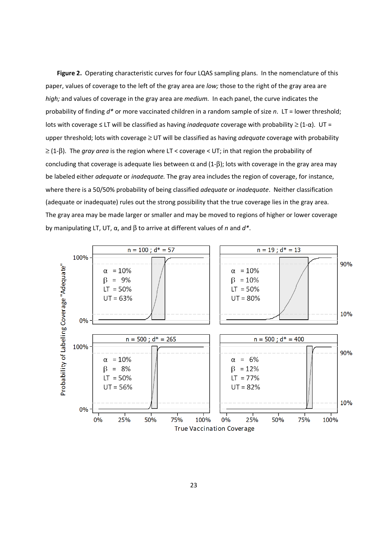Figure 2. Operating characteristic curves for four LQAS sampling plans. In the nomenclature of this paper, values of coverage to the left of the gray area are low; those to the right of the gray area are high; and values of coverage in the gray area are medium. In each panel, the curve indicates the probability of finding  $d^*$  or more vaccinated children in a random sample of size n. LT = lower threshold; lots with coverage  $\leq$  LT will be classified as having *inadequate* coverage with probability  $\geq$  (1- $\alpha$ ). UT = upper threshold; lots with coverage ≥ UT will be classified as having *adequate* coverage with probability  $\geq$  (1- $\beta$ ). The *gray area* is the region where LT < coverage < UT; in that region the probability of concluding that coverage is adequate lies between  $\alpha$  and (1- $\beta$ ); lots with coverage in the gray area may be labeled either adequate or inadequate. The gray area includes the region of coverage, for instance, where there is a 50/50% probability of being classified *adequate* or *inadequate*. Neither classification (adequate or inadequate) rules out the strong possibility that the true coverage lies in the gray area. The gray area may be made larger or smaller and may be moved to regions of higher or lower coverage by manipulating LT, UT,  $\alpha$ , and  $\beta$  to arrive at different values of n and  $d^*$ .

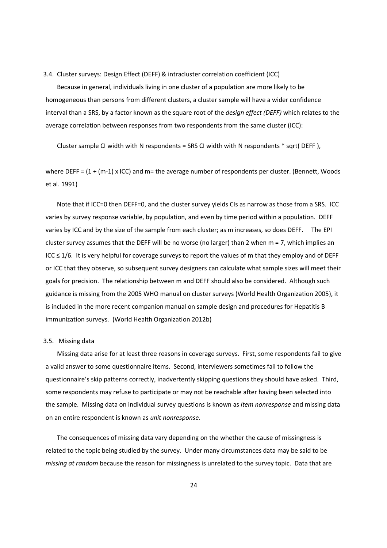3.4. Cluster surveys: Design Effect (DEFF) & intracluster correlation coefficient (ICC)

Because in general, individuals living in one cluster of a population are more likely to be homogeneous than persons from different clusters, a cluster sample will have a wider confidence interval than a SRS, by a factor known as the square root of the *design effect (DEFF)* which relates to the average correlation between responses from two respondents from the same cluster (ICC):

Cluster sample CI width with N respondents = SRS CI width with N respondents \* sqrt( DEFF ),

where DEFF =  $(1 + (m-1) \times$  ICC) and m= the average number of respondents per cluster. (Bennett, Woods et al. 1991)

Note that if ICC=0 then DEFF=0, and the cluster survey yields CIs as narrow as those from a SRS. ICC varies by survey response variable, by population, and even by time period within a population. DEFF varies by ICC and by the size of the sample from each cluster; as m increases, so does DEFF. The EPI cluster survey assumes that the DEFF will be no worse (no larger) than 2 when m = 7, which implies an ICC ≤ 1/6. It is very helpful for coverage surveys to report the values of m that they employ and of DEFF or ICC that they observe, so subsequent survey designers can calculate what sample sizes will meet their goals for precision. The relationship between m and DEFF should also be considered. Although such guidance is missing from the 2005 WHO manual on cluster surveys (World Health Organization 2005), it is included in the more recent companion manual on sample design and procedures for Hepatitis B immunization surveys. (World Health Organization 2012b)

## 3.5. Missing data

Missing data arise for at least three reasons in coverage surveys. First, some respondents fail to give a valid answer to some questionnaire items. Second, interviewers sometimes fail to follow the questionnaire's skip patterns correctly, inadvertently skipping questions they should have asked. Third, some respondents may refuse to participate or may not be reachable after having been selected into the sample. Missing data on individual survey questions is known as *item nonresponse* and missing data on an entire respondent is known as unit nonresponse.

The consequences of missing data vary depending on the whether the cause of missingness is related to the topic being studied by the survey. Under many circumstances data may be said to be missing at random because the reason for missingness is unrelated to the survey topic. Data that are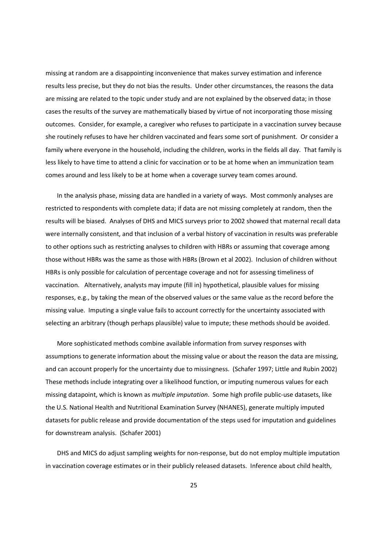missing at random are a disappointing inconvenience that makes survey estimation and inference results less precise, but they do not bias the results. Under other circumstances, the reasons the data are missing are related to the topic under study and are not explained by the observed data; in those cases the results of the survey are mathematically biased by virtue of not incorporating those missing outcomes. Consider, for example, a caregiver who refuses to participate in a vaccination survey because she routinely refuses to have her children vaccinated and fears some sort of punishment. Or consider a family where everyone in the household, including the children, works in the fields all day. That family is less likely to have time to attend a clinic for vaccination or to be at home when an immunization team comes around and less likely to be at home when a coverage survey team comes around.

In the analysis phase, missing data are handled in a variety of ways. Most commonly analyses are restricted to respondents with complete data; if data are not missing completely at random, then the results will be biased. Analyses of DHS and MICS surveys prior to 2002 showed that maternal recall data were internally consistent, and that inclusion of a verbal history of vaccination in results was preferable to other options such as restricting analyses to children with HBRs or assuming that coverage among those without HBRs was the same as those with HBRs (Brown et al 2002). Inclusion of children without HBRs is only possible for calculation of percentage coverage and not for assessing timeliness of vaccination. Alternatively, analysts may impute (fill in) hypothetical, plausible values for missing responses, e.g., by taking the mean of the observed values or the same value as the record before the missing value. Imputing a single value fails to account correctly for the uncertainty associated with selecting an arbitrary (though perhaps plausible) value to impute; these methods should be avoided.

More sophisticated methods combine available information from survey responses with assumptions to generate information about the missing value or about the reason the data are missing, and can account properly for the uncertainty due to missingness. (Schafer 1997; Little and Rubin 2002) These methods include integrating over a likelihood function, or imputing numerous values for each missing datapoint, which is known as *multiple imputation*. Some high profile public-use datasets, like the U.S. National Health and Nutritional Examination Survey (NHANES), generate multiply imputed datasets for public release and provide documentation of the steps used for imputation and guidelines for downstream analysis. (Schafer 2001)

DHS and MICS do adjust sampling weights for non-response, but do not employ multiple imputation in vaccination coverage estimates or in their publicly released datasets. Inference about child health,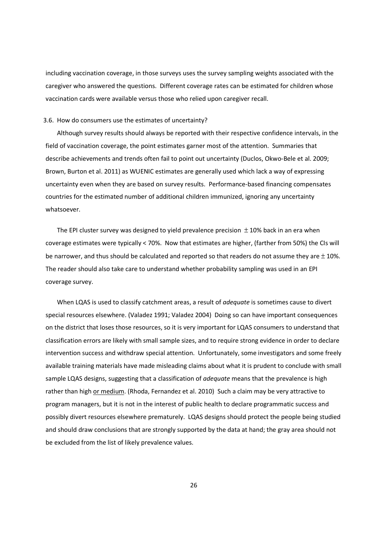including vaccination coverage, in those surveys uses the survey sampling weights associated with the caregiver who answered the questions. Different coverage rates can be estimated for children whose vaccination cards were available versus those who relied upon caregiver recall.

#### 3.6. How do consumers use the estimates of uncertainty?

Although survey results should always be reported with their respective confidence intervals, in the field of vaccination coverage, the point estimates garner most of the attention. Summaries that describe achievements and trends often fail to point out uncertainty (Duclos, Okwo-Bele et al. 2009; Brown, Burton et al. 2011) as WUENIC estimates are generally used which lack a way of expressing uncertainty even when they are based on survey results. Performance-based financing compensates countries for the estimated number of additional children immunized, ignoring any uncertainty whatsoever.

The EPI cluster survey was designed to yield prevalence precision  $\pm$  10% back in an era when coverage estimates were typically < 70%. Now that estimates are higher, (farther from 50%) the CIs will be narrower, and thus should be calculated and reported so that readers do not assume they are  $\pm$  10%. The reader should also take care to understand whether probability sampling was used in an EPI coverage survey.

When LQAS is used to classify catchment areas, a result of adequate is sometimes cause to divert special resources elsewhere. (Valadez 1991; Valadez 2004) Doing so can have important consequences on the district that loses those resources, so it is very important for LQAS consumers to understand that classification errors are likely with small sample sizes, and to require strong evidence in order to declare intervention success and withdraw special attention. Unfortunately, some investigators and some freely available training materials have made misleading claims about what it is prudent to conclude with small sample LQAS designs, suggesting that a classification of *adequate* means that the prevalence is high rather than high or medium. (Rhoda, Fernandez et al. 2010) Such a claim may be very attractive to program managers, but it is not in the interest of public health to declare programmatic success and possibly divert resources elsewhere prematurely. LQAS designs should protect the people being studied and should draw conclusions that are strongly supported by the data at hand; the gray area should not be excluded from the list of likely prevalence values.

26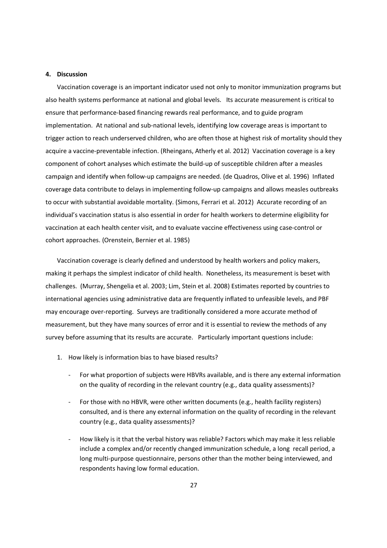#### 4. Discussion

Vaccination coverage is an important indicator used not only to monitor immunization programs but also health systems performance at national and global levels. Its accurate measurement is critical to ensure that performance-based financing rewards real performance, and to guide program implementation. At national and sub-national levels, identifying low coverage areas is important to trigger action to reach underserved children, who are often those at highest risk of mortality should they acquire a vaccine-preventable infection. (Rheingans, Atherly et al. 2012) Vaccination coverage is a key component of cohort analyses which estimate the build-up of susceptible children after a measles campaign and identify when follow-up campaigns are needed. (de Quadros, Olive et al. 1996) Inflated coverage data contribute to delays in implementing follow-up campaigns and allows measles outbreaks to occur with substantial avoidable mortality. (Simons, Ferrari et al. 2012) Accurate recording of an individual's vaccination status is also essential in order for health workers to determine eligibility for vaccination at each health center visit, and to evaluate vaccine effectiveness using case-control or cohort approaches. (Orenstein, Bernier et al. 1985)

Vaccination coverage is clearly defined and understood by health workers and policy makers, making it perhaps the simplest indicator of child health. Nonetheless, its measurement is beset with challenges. (Murray, Shengelia et al. 2003; Lim, Stein et al. 2008) Estimates reported by countries to international agencies using administrative data are frequently inflated to unfeasible levels, and PBF may encourage over-reporting. Surveys are traditionally considered a more accurate method of measurement, but they have many sources of error and it is essential to review the methods of any survey before assuming that its results are accurate. Particularly important questions include:

- 1. How likely is information bias to have biased results?
	- For what proportion of subjects were HBVRs available, and is there any external information on the quality of recording in the relevant country (e.g., data quality assessments)?
	- For those with no HBVR, were other written documents (e.g., health facility registers) consulted, and is there any external information on the quality of recording in the relevant country (e.g., data quality assessments)?
	- How likely is it that the verbal history was reliable? Factors which may make it less reliable include a complex and/or recently changed immunization schedule, a long recall period, a long multi-purpose questionnaire, persons other than the mother being interviewed, and respondents having low formal education.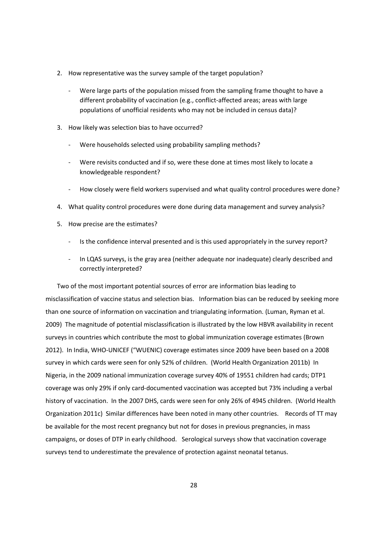- 2. How representative was the survey sample of the target population?
	- Were large parts of the population missed from the sampling frame thought to have a different probability of vaccination (e.g., conflict-affected areas; areas with large populations of unofficial residents who may not be included in census data)?
- 3. How likely was selection bias to have occurred?
	- Were households selected using probability sampling methods?
	- Were revisits conducted and if so, were these done at times most likely to locate a knowledgeable respondent?
	- How closely were field workers supervised and what quality control procedures were done?
- 4. What quality control procedures were done during data management and survey analysis?
- 5. How precise are the estimates?
	- Is the confidence interval presented and is this used appropriately in the survey report?
	- In LQAS surveys, is the gray area (neither adequate nor inadequate) clearly described and correctly interpreted?

Two of the most important potential sources of error are information bias leading to misclassification of vaccine status and selection bias. Information bias can be reduced by seeking more than one source of information on vaccination and triangulating information. (Luman, Ryman et al. 2009) The magnitude of potential misclassification is illustrated by the low HBVR availability in recent surveys in countries which contribute the most to global immunization coverage estimates (Brown 2012). In India, WHO-UNICEF ("WUENIC) coverage estimates since 2009 have been based on a 2008 survey in which cards were seen for only 52% of children. (World Health Organization 2011b) In Nigeria, in the 2009 national immunization coverage survey 40% of 19551 children had cards; DTP1 coverage was only 29% if only card-documented vaccination was accepted but 73% including a verbal history of vaccination. In the 2007 DHS, cards were seen for only 26% of 4945 children. (World Health Organization 2011c) Similar differences have been noted in many other countries. Records of TT may be available for the most recent pregnancy but not for doses in previous pregnancies, in mass campaigns, or doses of DTP in early childhood. Serological surveys show that vaccination coverage surveys tend to underestimate the prevalence of protection against neonatal tetanus.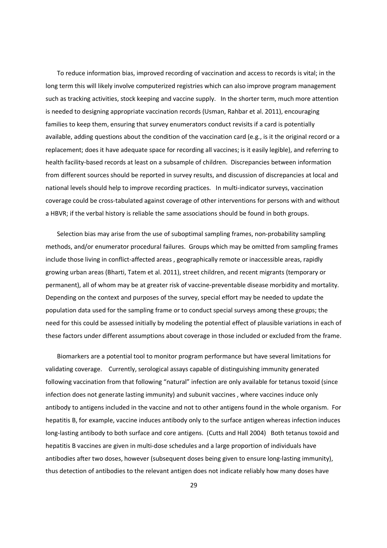To reduce information bias, improved recording of vaccination and access to records is vital; in the long term this will likely involve computerized registries which can also improve program management such as tracking activities, stock keeping and vaccine supply. In the shorter term, much more attention is needed to designing appropriate vaccination records (Usman, Rahbar et al. 2011), encouraging families to keep them, ensuring that survey enumerators conduct revisits if a card is potentially available, adding questions about the condition of the vaccination card (e.g., is it the original record or a replacement; does it have adequate space for recording all vaccines; is it easily legible), and referring to health facility-based records at least on a subsample of children. Discrepancies between information from different sources should be reported in survey results, and discussion of discrepancies at local and national levels should help to improve recording practices. In multi-indicator surveys, vaccination coverage could be cross-tabulated against coverage of other interventions for persons with and without a HBVR; if the verbal history is reliable the same associations should be found in both groups.

Selection bias may arise from the use of suboptimal sampling frames, non-probability sampling methods, and/or enumerator procedural failures. Groups which may be omitted from sampling frames include those living in conflict-affected areas , geographically remote or inaccessible areas, rapidly growing urban areas (Bharti, Tatem et al. 2011), street children, and recent migrants (temporary or permanent), all of whom may be at greater risk of vaccine-preventable disease morbidity and mortality. Depending on the context and purposes of the survey, special effort may be needed to update the population data used for the sampling frame or to conduct special surveys among these groups; the need for this could be assessed initially by modeling the potential effect of plausible variations in each of these factors under different assumptions about coverage in those included or excluded from the frame.

Biomarkers are a potential tool to monitor program performance but have several limitations for validating coverage. Currently, serological assays capable of distinguishing immunity generated following vaccination from that following "natural" infection are only available for tetanus toxoid (since infection does not generate lasting immunity) and subunit vaccines , where vaccines induce only antibody to antigens included in the vaccine and not to other antigens found in the whole organism. For hepatitis B, for example, vaccine induces antibody only to the surface antigen whereas infection induces long-lasting antibody to both surface and core antigens. (Cutts and Hall 2004) Both tetanus toxoid and hepatitis B vaccines are given in multi-dose schedules and a large proportion of individuals have antibodies after two doses, however (subsequent doses being given to ensure long-lasting immunity), thus detection of antibodies to the relevant antigen does not indicate reliably how many doses have

29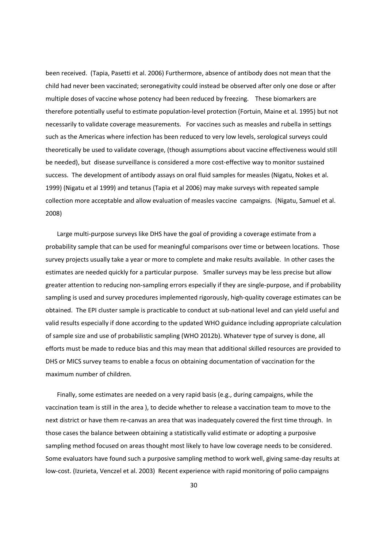been received. (Tapia, Pasetti et al. 2006) Furthermore, absence of antibody does not mean that the child had never been vaccinated; seronegativity could instead be observed after only one dose or after multiple doses of vaccine whose potency had been reduced by freezing. These biomarkers are therefore potentially useful to estimate population-level protection (Fortuin, Maine et al. 1995) but not necessarily to validate coverage measurements. For vaccines such as measles and rubella in settings such as the Americas where infection has been reduced to very low levels, serological surveys could theoretically be used to validate coverage, (though assumptions about vaccine effectiveness would still be needed), but disease surveillance is considered a more cost-effective way to monitor sustained success. The development of antibody assays on oral fluid samples for measles (Nigatu, Nokes et al. 1999) (Nigatu et al 1999) and tetanus (Tapia et al 2006) may make surveys with repeated sample collection more acceptable and allow evaluation of measles vaccine campaigns. (Nigatu, Samuel et al. 2008)

Large multi-purpose surveys like DHS have the goal of providing a coverage estimate from a probability sample that can be used for meaningful comparisons over time or between locations. Those survey projects usually take a year or more to complete and make results available. In other cases the estimates are needed quickly for a particular purpose. Smaller surveys may be less precise but allow greater attention to reducing non-sampling errors especially if they are single-purpose, and if probability sampling is used and survey procedures implemented rigorously, high-quality coverage estimates can be obtained. The EPI cluster sample is practicable to conduct at sub-national level and can yield useful and valid results especially if done according to the updated WHO guidance including appropriate calculation of sample size and use of probabilistic sampling (WHO 2012b). Whatever type of survey is done, all efforts must be made to reduce bias and this may mean that additional skilled resources are provided to DHS or MICS survey teams to enable a focus on obtaining documentation of vaccination for the maximum number of children.

Finally, some estimates are needed on a very rapid basis (e.g., during campaigns, while the vaccination team is still in the area ), to decide whether to release a vaccination team to move to the next district or have them re-canvas an area that was inadequately covered the first time through. In those cases the balance between obtaining a statistically valid estimate or adopting a purposive sampling method focused on areas thought most likely to have low coverage needs to be considered. Some evaluators have found such a purposive sampling method to work well, giving same-day results at low-cost. (Izurieta, Venczel et al. 2003) Recent experience with rapid monitoring of polio campaigns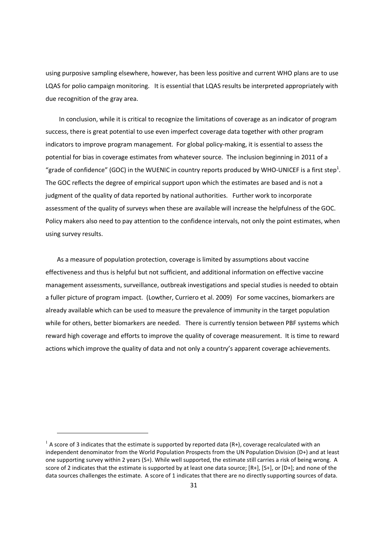using purposive sampling elsewhere, however, has been less positive and current WHO plans are to use LQAS for polio campaign monitoring. It is essential that LQAS results be interpreted appropriately with due recognition of the gray area.

In conclusion, while it is critical to recognize the limitations of coverage as an indicator of program success, there is great potential to use even imperfect coverage data together with other program indicators to improve program management. For global policy-making, it is essential to assess the potential for bias in coverage estimates from whatever source. The inclusion beginning in 2011 of a "grade of confidence" (GOC) in the WUENIC in country reports produced by WHO-UNICEF is a first step<sup>1</sup>. The GOC reflects the degree of empirical support upon which the estimates are based and is not a judgment of the quality of data reported by national authorities. Further work to incorporate assessment of the quality of surveys when these are available will increase the helpfulness of the GOC. Policy makers also need to pay attention to the confidence intervals, not only the point estimates, when using survey results.

As a measure of population protection, coverage is limited by assumptions about vaccine effectiveness and thus is helpful but not sufficient, and additional information on effective vaccine management assessments, surveillance, outbreak investigations and special studies is needed to obtain a fuller picture of program impact. (Lowther, Curriero et al. 2009) For some vaccines, biomarkers are already available which can be used to measure the prevalence of immunity in the target population while for others, better biomarkers are needed. There is currently tension between PBF systems which reward high coverage and efforts to improve the quality of coverage measurement. It is time to reward actions which improve the quality of data and not only a country's apparent coverage achievements.

<u>.</u>

 $1$  A score of 3 indicates that the estimate is supported by reported data (R+), coverage recalculated with an independent denominator from the World Population Prospects from the UN Population Division (D+) and at least one supporting survey within 2 years (S+). While well supported, the estimate still carries a risk of being wrong. A score of 2 indicates that the estimate is supported by at least one data source; [R+1, [S+1, or [D+1; and none of the data sources challenges the estimate. A score of 1 indicates that there are no directly supporting sources of data.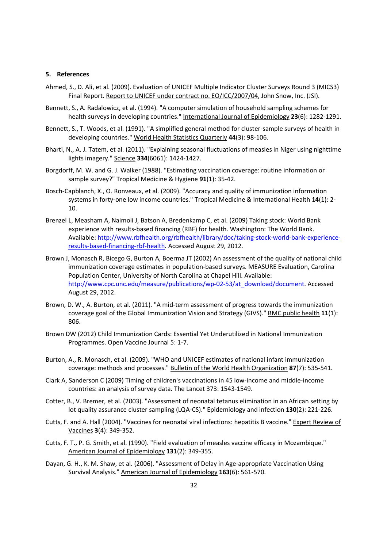#### 5. References

- Ahmed, S., D. Ali, et al. (2009). Evaluation of UNICEF Multiple Indicator Cluster Surveys Round 3 (MICS3) Final Report. Report to UNICEF under contract no. EO/ICC/2007/04, John Snow, Inc. (JSI).
- Bennett, S., A. Radalowicz, et al. (1994). "A computer simulation of household sampling schemes for health surveys in developing countries." International Journal of Epidemiology 23(6): 1282-1291.
- Bennett, S., T. Woods, et al. (1991). "A simplified general method for cluster-sample surveys of health in developing countries." World Health Statistics Quarterly 44(3): 98-106.
- Bharti, N., A. J. Tatem, et al. (2011). "Explaining seasonal fluctuations of measles in Niger using nighttime lights imagery." Science 334(6061): 1424-1427.
- Borgdorff, M. W. and G. J. Walker (1988). "Estimating vaccination coverage: routine information or sample survey?" Tropical Medicine & Hygiene 91(1): 35-42.
- Bosch-Capblanch, X., O. Ronveaux, et al. (2009). "Accuracy and quality of immunization information systems in forty-one low income countries." Tropical Medicine & International Health 14(1): 2-10.
- Brenzel L, Measham A, Naimoli J, Batson A, Bredenkamp C, et al. (2009) Taking stock: World Bank experience with results-based financing (RBF) for health. Washington: The World Bank. Available: http://www.rbfhealth.org/rbfhealth/library/doc/taking-stock-world-bank-experienceresults-based-financing-rbf-health. Accessed August 29, 2012.
- Brown J, Monasch R, Bicego G, Burton A, Boerma JT (2002) An assessment of the quality of national child immunization coverage estimates in population-based surveys. MEASURE Evaluation, Carolina Population Center, University of North Carolina at Chapel Hill. Available: http://www.cpc.unc.edu/measure/publications/wp-02-53/at\_download/document. Accessed August 29, 2012.
- Brown, D. W., A. Burton, et al. (2011). "A mid-term assessment of progress towards the immunization coverage goal of the Global Immunization Vision and Strategy (GIVS)." BMC public health 11(1): 806.
- Brown DW (2012) Child Immunization Cards: Essential Yet Underutilized in National Immunization Programmes. Open Vaccine Journal 5: 1-7.
- Burton, A., R. Monasch, et al. (2009). "WHO and UNICEF estimates of national infant immunization coverage: methods and processes." Bulletin of the World Health Organization 87(7): 535-541.
- Clark A, Sanderson C (2009) Timing of children's vaccinations in 45 low-income and middle-income countries: an analysis of survey data. The Lancet 373: 1543-1549.
- Cotter, B., V. Bremer, et al. (2003). "Assessment of neonatal tetanus elimination in an African setting by lot quality assurance cluster sampling (LQA-CS)." Epidemiology and infection 130(2): 221-226.
- Cutts, F. and A. Hall (2004). "Vaccines for neonatal viral infections: hepatitis B vaccine." Expert Review of Vaccines 3(4): 349-352.
- Cutts, F. T., P. G. Smith, et al. (1990). "Field evaluation of measles vaccine efficacy in Mozambique." American Journal of Epidemiology 131(2): 349-355.
- Dayan, G. H., K. M. Shaw, et al. (2006). "Assessment of Delay in Age-appropriate Vaccination Using Survival Analysis." American Journal of Epidemiology 163(6): 561-570.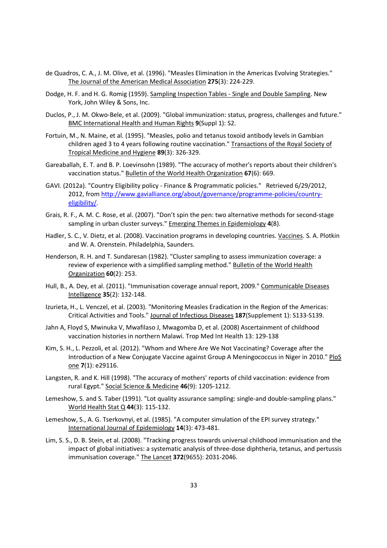- de Quadros, C. A., J. M. Olive, et al. (1996). "Measles Elimination in the Americas Evolving Strategies." The Journal of the American Medical Association 275(3): 224-229.
- Dodge, H. F. and H. G. Romig (1959). Sampling Inspection Tables Single and Double Sampling. New York, John Wiley & Sons, Inc.
- Duclos, P., J. M. Okwo-Bele, et al. (2009). "Global immunization: status, progress, challenges and future." BMC International Health and Human Rights 9(Suppl 1): S2.
- Fortuin, M., N. Maine, et al. (1995). "Measles, polio and tetanus toxoid antibody levels in Gambian children aged 3 to 4 years following routine vaccination." Transactions of the Royal Society of Tropical Medicine and Hygiene 89(3): 326-329.
- Gareaballah, E. T. and B. P. Loevinsohn (1989). "The accuracy of mother's reports about their children's vaccination status." Bulletin of the World Health Organization 67(6): 669.
- GAVI. (2012a). "Country Eligibility policy Finance & Programmatic policies." Retrieved 6/29/2012, 2012, from http://www.gavialliance.org/about/governance/programme-policies/countryeligibility/.
- Grais, R. F., A. M. C. Rose, et al. (2007). "Don't spin the pen: two alternative methods for second-stage sampling in urban cluster surveys." Emerging Themes in Epidemiology 4(8).
- Hadler, S. C., V. Dietz, et al. (2008). Vaccination programs in developing countries. Vaccines. S. A. Plotkin and W. A. Orenstein. Philadelphia, Saunders.
- Henderson, R. H. and T. Sundaresan (1982). "Cluster sampling to assess immunization coverage: a review of experience with a simplified sampling method." Bulletin of the World Health Organization 60(2): 253.
- Hull, B., A. Dey, et al. (2011). "Immunisation coverage annual report, 2009." Communicable Diseases Intelligence 35(2): 132-148.
- Izurieta, H., L. Venczel, et al. (2003). "Monitoring Measles Eradication in the Region of the Americas: Critical Activities and Tools." Journal of Infectious Diseases 187(Supplement 1): S133-S139.
- Jahn A, Floyd S, Mwinuka V, Mwafilaso J, Mwagomba D, et al. (2008) Ascertainment of childhood vaccination histories in northern Malawi. Trop Med Int Health 13: 129-138
- Kim, S. H., L. Pezzoli, et al. (2012). "Whom and Where Are We Not Vaccinating? Coverage after the Introduction of a New Conjugate Vaccine against Group A Meningococcus in Niger in 2010." PloS one 7(1): e29116.
- Langsten, R. and K. Hill (1998). "The accuracy of mothers' reports of child vaccination: evidence from rural Egypt." Social Science & Medicine 46(9): 1205-1212.
- Lemeshow, S. and S. Taber (1991). "Lot quality assurance sampling: single-and double-sampling plans." World Health Stat Q 44(3): 115-132.
- Lemeshow, S., A. G. Tserkovnyi, et al. (1985). "A computer simulation of the EPI survey strategy." International Journal of Epidemiology 14(3): 473-481.
- Lim, S. S., D. B. Stein, et al. (2008). "Tracking progress towards universal childhood immunisation and the impact of global initiatives: a systematic analysis of three-dose diphtheria, tetanus, and pertussis immunisation coverage." The Lancet 372(9655): 2031-2046.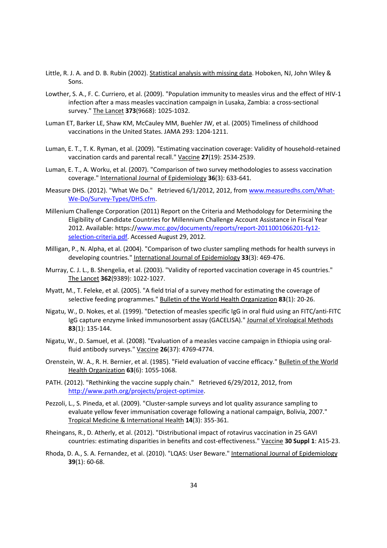- Little, R. J. A. and D. B. Rubin (2002). Statistical analysis with missing data. Hoboken, NJ, John Wiley & Sons.
- Lowther, S. A., F. C. Curriero, et al. (2009). "Population immunity to measles virus and the effect of HIV-1 infection after a mass measles vaccination campaign in Lusaka, Zambia: a cross-sectional survey." The Lancet 373(9668): 1025-1032.
- Luman ET, Barker LE, Shaw KM, McCauley MM, Buehler JW, et al. (2005) Timeliness of childhood vaccinations in the United States. JAMA 293: 1204-1211.
- Luman, E. T., T. K. Ryman, et al. (2009). "Estimating vaccination coverage: Validity of household-retained vaccination cards and parental recall." Vaccine 27(19): 2534-2539.
- Luman, E. T., A. Worku, et al. (2007). "Comparison of two survey methodologies to assess vaccination coverage." International Journal of Epidemiology 36(3): 633-641.
- Measure DHS. (2012). "What We Do." Retrieved 6/1/2012, 2012, from www.measuredhs.com/What-We-Do/Survey-Types/DHS.cfm.
- Millenium Challenge Corporation (2011) Report on the Criteria and Methodology for Determining the Eligibility of Candidate Countries for Millennium Challenge Account Assistance in Fiscal Year 2012. Available: https://www.mcc.gov/documents/reports/report-2011001066201-fy12 selection-criteria.pdf. Accessed August 29, 2012.
- Milligan, P., N. Alpha, et al. (2004). "Comparison of two cluster sampling methods for health surveys in developing countries." International Journal of Epidemiology 33(3): 469-476.
- Murray, C. J. L., B. Shengelia, et al. (2003). "Validity of reported vaccination coverage in 45 countries." The Lancet 362(9389): 1022-1027.
- Myatt, M., T. Feleke, et al. (2005). "A field trial of a survey method for estimating the coverage of selective feeding programmes." Bulletin of the World Health Organization 83(1): 20-26.
- Nigatu, W., D. Nokes, et al. (1999). "Detection of measles specific IgG in oral fluid using an FITC/anti-FITC IgG capture enzyme linked immunosorbent assay (GACELISA)." Journal of Virological Methods 83(1): 135-144.
- Nigatu, W., D. Samuel, et al. (2008). "Evaluation of a measles vaccine campaign in Ethiopia using oralfluid antibody surveys." Vaccine 26(37): 4769-4774.
- Orenstein, W. A., R. H. Bernier, et al. (1985). "Field evaluation of vaccine efficacy." Bulletin of the World Health Organization 63(6): 1055-1068.
- PATH. (2012). "Rethinking the vaccine supply chain." Retrieved 6/29/2012, 2012, from http://www.path.org/projects/project-optimize.
- Pezzoli, L., S. Pineda, et al. (2009). "Cluster-sample surveys and lot quality assurance sampling to evaluate yellow fever immunisation coverage following a national campaign, Bolivia, 2007." Tropical Medicine & International Health 14(3): 355-361.
- Rheingans, R., D. Atherly, et al. (2012). "Distributional impact of rotavirus vaccination in 25 GAVI countries: estimating disparities in benefits and cost-effectiveness." Vaccine 30 Suppl 1: A15-23.
- Rhoda, D. A., S. A. Fernandez, et al. (2010). "LQAS: User Beware." International Journal of Epidemiology 39(1): 60-68.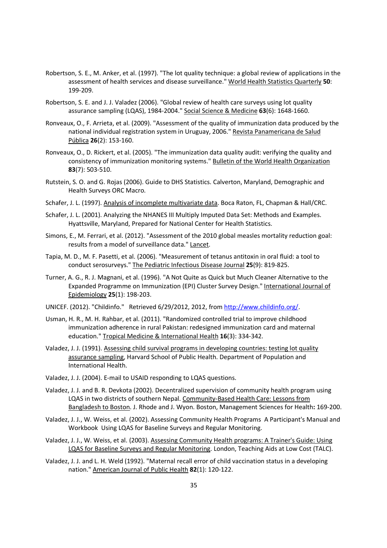- Robertson, S. E., M. Anker, et al. (1997). "The lot quality technique: a global review of applications in the assessment of health services and disease surveillance." World Health Statistics Quarterly 50: 199-209.
- Robertson, S. E. and J. J. Valadez (2006). "Global review of health care surveys using lot quality assurance sampling (LQAS), 1984-2004." Social Science & Medicine 63(6): 1648-1660.
- Ronveaux, O., F. Arrieta, et al. (2009). "Assessment of the quality of immunization data produced by the national individual registration system in Uruguay, 2006." Revista Panamericana de Salud Pública 26(2): 153-160.
- Ronveaux, O., D. Rickert, et al. (2005). "The immunization data quality audit: verifying the quality and consistency of immunization monitoring systems." Bulletin of the World Health Organization 83(7): 503-510.
- Rutstein, S. O. and G. Rojas (2006). Guide to DHS Statistics. Calverton, Maryland, Demographic and Health Surveys ORC Macro.
- Schafer, J. L. (1997). Analysis of incomplete multivariate data. Boca Raton, FL, Chapman & Hall/CRC.
- Schafer, J. L. (2001). Analyzing the NHANES III Multiply Imputed Data Set: Methods and Examples. Hyattsville, Maryland, Prepared for National Center for Health Statistics.
- Simons, E., M. Ferrari, et al. (2012). "Assessment of the 2010 global measles mortality reduction goal: results from a model of surveillance data." Lancet.
- Tapia, M. D., M. F. Pasetti, et al. (2006). "Measurement of tetanus antitoxin in oral fluid: a tool to conduct serosurveys." The Pediatric Infectious Disease Journal 25(9): 819-825.
- Turner, A. G., R. J. Magnani, et al. (1996). "A Not Quite as Quick but Much Cleaner Alternative to the Expanded Programme on Immunization (EPI) Cluster Survey Design." International Journal of Epidemiology 25(1): 198-203.
- UNICEF. (2012). "Childinfo." Retrieved 6/29/2012, 2012, from http://www.childinfo.org/.
- Usman, H. R., M. H. Rahbar, et al. (2011). "Randomized controlled trial to improve childhood immunization adherence in rural Pakistan: redesigned immunization card and maternal education." Tropical Medicine & International Health 16(3): 334-342.
- Valadez, J. J. (1991). Assessing child survival programs in developing countries: testing lot quality assurance sampling, Harvard School of Public Health. Department of Population and International Health.
- Valadez, J. J. (2004). E-mail to USAID responding to LQAS questions.
- Valadez, J. J. and B. R. Devkota (2002). Decentralized supervision of community health program using LQAS in two districts of southern Nepal. Community-Based Health Care: Lessons from Bangladesh to Boston. J. Rhode and J. Wyon. Boston, Management Sciences for Health: 169-200.
- Valadez, J. J., W. Weiss, et al. (2002). Assessing Community Health Programs A Participant's Manual and Workbook Using LQAS for Baseline Surveys and Regular Monitoring.
- Valadez, J. J., W. Weiss, et al. (2003). Assessing Community Health programs: A Trainer's Guide: Using LQAS for Baseline Surveys and Regular Monitoring. London, Teaching Aids at Low Cost (TALC).
- Valadez, J. J. and L. H. Weld (1992). "Maternal recall error of child vaccination status in a developing nation." American Journal of Public Health 82(1): 120-122.